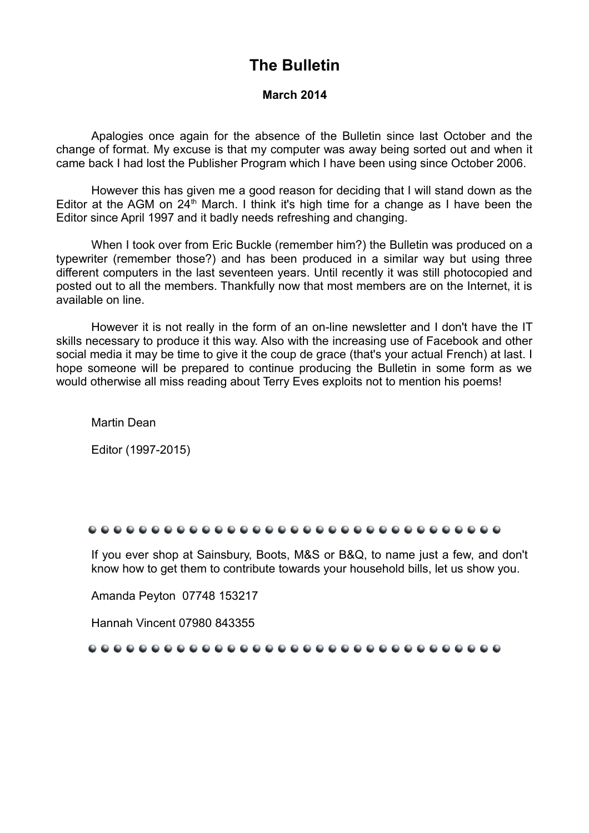## **The Bulletin**

#### **March 2014**

Apalogies once again for the absence of the Bulletin since last October and the change of format. My excuse is that my computer was away being sorted out and when it came back I had lost the Publisher Program which I have been using since October 2006.

However this has given me a good reason for deciding that I will stand down as the Editor at the AGM on  $24<sup>th</sup>$  March. I think it's high time for a change as I have been the Editor since April 1997 and it badly needs refreshing and changing.

When I took over from Eric Buckle (remember him?) the Bulletin was produced on a typewriter (remember those?) and has been produced in a similar way but using three different computers in the last seventeen years. Until recently it was still photocopied and posted out to all the members. Thankfully now that most members are on the Internet, it is available on line.

However it is not really in the form of an on-line newsletter and I don't have the IT skills necessary to produce it this way. Also with the increasing use of Facebook and other social media it may be time to give it the coup de grace (that's your actual French) at last. I hope someone will be prepared to continue producing the Bulletin in some form as we would otherwise all miss reading about Terry Eves exploits not to mention his poems!

Martin Dean

Editor (1997-2015)

#### .................................

If you ever shop at Sainsbury, Boots, M&S or B&Q, to name just a few, and don't know how to get them to contribute towards your household bills, let us show you.

Amanda Peyton 07748 153217

Hannah Vincent 07980 843355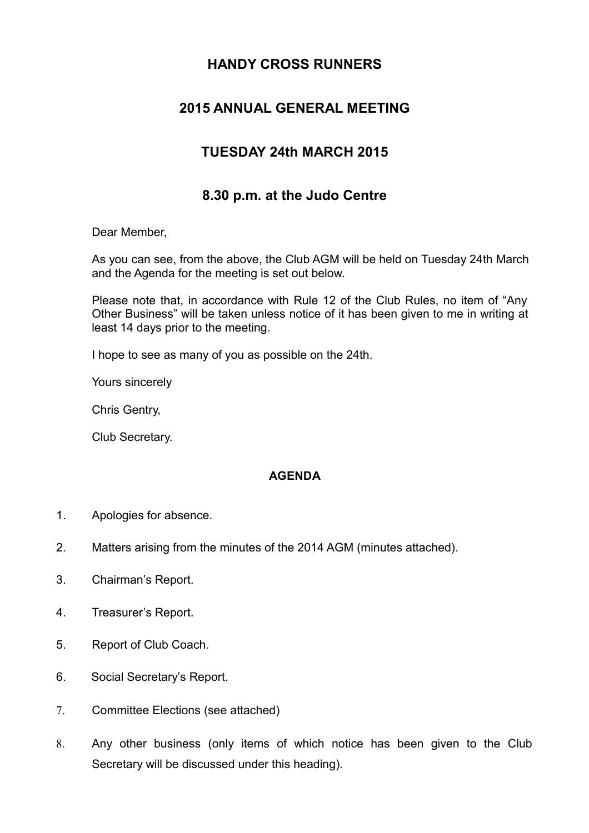### **HANDY CROSS RUNNERS**

### **2015 ANNUAL GENERAL MEETING**

### **TUESDAY 24th MARCH 2015**

### **8.30 p.m. at the Judo Centre**

Dear Member,

As you can see, from the above, the Club AGM will be held on Tuesday 24th March and the Agenda for the meeting is set out below.

Please note that, in accordance with Rule 12 of the Club Rules, no item of "Any Other Business" will be taken unless notice of it has been given to me in writing at least 14 days prior to the meeting.

I hope to see as many of you as possible on the 24th.

Yours sincerely

Chris Gentry,

Club Secretary.

### **AGENDA**

- 1. Apologies for absence.
- 2. Matters arising from the minutes of the 2014 AGM (minutes attached).
- 3. Chairman's Report.
- 4. Treasurer's Report.
- 5. Report of Club Coach.
- 6. Social Secretary's Report.
- 7. Committee Elections (see attached)
- 8. Any other business (only items of which notice has been given to the Club Secretary will be discussed under this heading).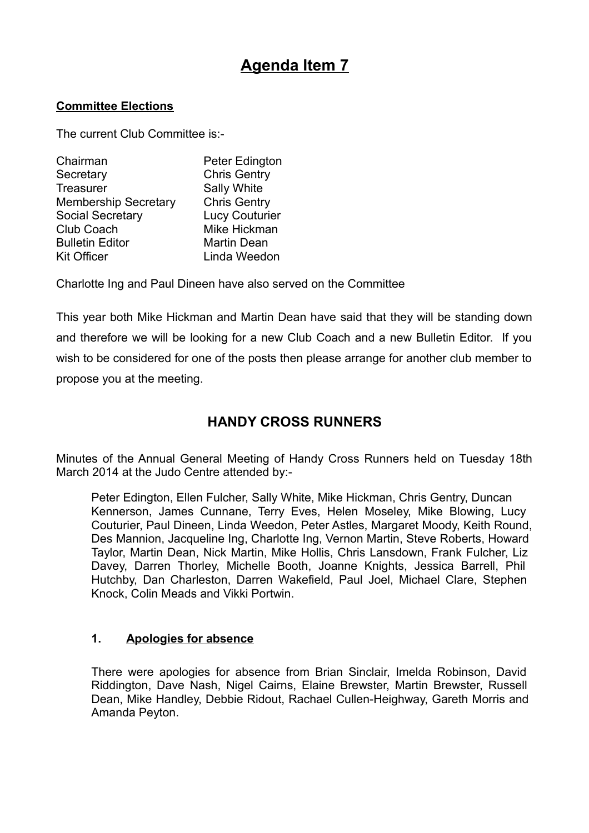# **Agenda Item 7**

#### **Committee Elections**

The current Club Committee is:-

| Chairman                    | Peter Edington        |
|-----------------------------|-----------------------|
| Secretary                   | <b>Chris Gentry</b>   |
| <b>Treasurer</b>            | Sally White           |
| <b>Membership Secretary</b> | <b>Chris Gentry</b>   |
| <b>Social Secretary</b>     | <b>Lucy Couturier</b> |
| <b>Club Coach</b>           | Mike Hickman          |
| <b>Bulletin Editor</b>      | <b>Martin Dean</b>    |
| <b>Kit Officer</b>          | Linda Weedon          |
|                             |                       |

Charlotte Ing and Paul Dineen have also served on the Committee

This year both Mike Hickman and Martin Dean have said that they will be standing down and therefore we will be looking for a new Club Coach and a new Bulletin Editor. If you wish to be considered for one of the posts then please arrange for another club member to propose you at the meeting.

### **HANDY CROSS RUNNERS**

Minutes of the Annual General Meeting of Handy Cross Runners held on Tuesday 18th March 2014 at the Judo Centre attended by:-

Peter Edington, Ellen Fulcher, Sally White, Mike Hickman, Chris Gentry, Duncan Kennerson, James Cunnane, Terry Eves, Helen Moseley, Mike Blowing, Lucy Couturier, Paul Dineen, Linda Weedon, Peter Astles, Margaret Moody, Keith Round, Des Mannion, Jacqueline Ing, Charlotte Ing, Vernon Martin, Steve Roberts, Howard Taylor, Martin Dean, Nick Martin, Mike Hollis, Chris Lansdown, Frank Fulcher, Liz Davey, Darren Thorley, Michelle Booth, Joanne Knights, Jessica Barrell, Phil Hutchby, Dan Charleston, Darren Wakefield, Paul Joel, Michael Clare, Stephen Knock, Colin Meads and Vikki Portwin.

### **1. Apologies for absence**

There were apologies for absence from Brian Sinclair, Imelda Robinson, David Riddington, Dave Nash, Nigel Cairns, Elaine Brewster, Martin Brewster, Russell Dean, Mike Handley, Debbie Ridout, Rachael Cullen-Heighway, Gareth Morris and Amanda Peyton.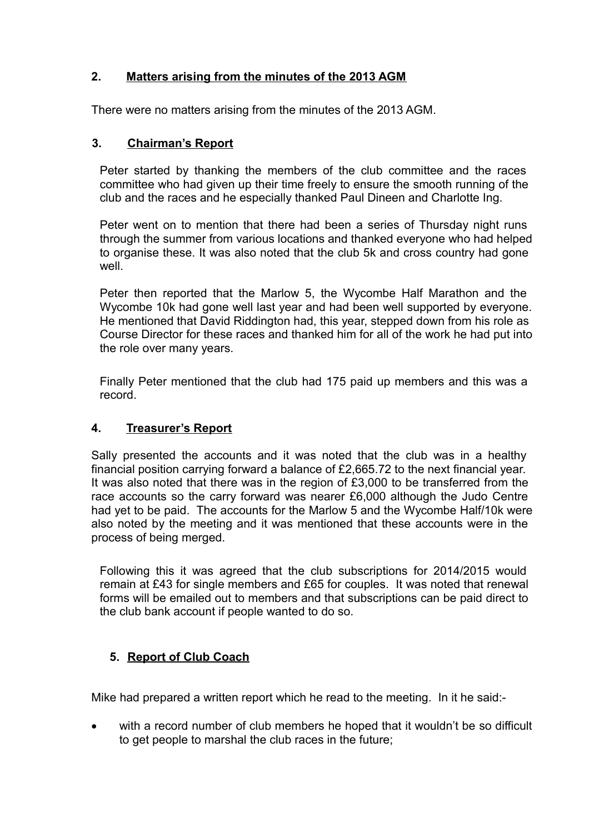### **2. Matters arising from the minutes of the 2013 AGM**

There were no matters arising from the minutes of the 2013 AGM.

### **3. Chairman's Report**

Peter started by thanking the members of the club committee and the races committee who had given up their time freely to ensure the smooth running of the club and the races and he especially thanked Paul Dineen and Charlotte Ing.

Peter went on to mention that there had been a series of Thursday night runs through the summer from various locations and thanked everyone who had helped to organise these. It was also noted that the club 5k and cross country had gone well.

Peter then reported that the Marlow 5, the Wycombe Half Marathon and the Wycombe 10k had gone well last year and had been well supported by everyone. He mentioned that David Riddington had, this year, stepped down from his role as Course Director for these races and thanked him for all of the work he had put into the role over many years.

Finally Peter mentioned that the club had 175 paid up members and this was a record.

### **4. Treasurer's Report**

Sally presented the accounts and it was noted that the club was in a healthy financial position carrying forward a balance of £2,665.72 to the next financial year. It was also noted that there was in the region of £3,000 to be transferred from the race accounts so the carry forward was nearer £6,000 although the Judo Centre had yet to be paid. The accounts for the Marlow 5 and the Wycombe Half/10k were also noted by the meeting and it was mentioned that these accounts were in the process of being merged.

Following this it was agreed that the club subscriptions for 2014/2015 would remain at £43 for single members and £65 for couples. It was noted that renewal forms will be emailed out to members and that subscriptions can be paid direct to the club bank account if people wanted to do so.

### **5. Report of Club Coach**

Mike had prepared a written report which he read to the meeting. In it he said:-

 with a record number of club members he hoped that it wouldn't be so difficult to get people to marshal the club races in the future;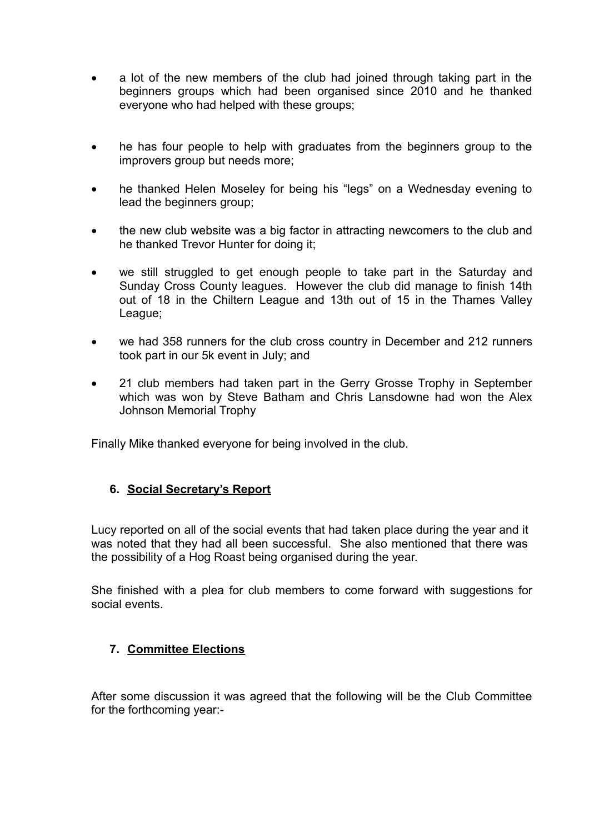- a lot of the new members of the club had joined through taking part in the beginners groups which had been organised since 2010 and he thanked everyone who had helped with these groups;
- he has four people to help with graduates from the beginners group to the improvers group but needs more;
- he thanked Helen Moseley for being his "legs" on a Wednesday evening to lead the beginners group;
- the new club website was a big factor in attracting newcomers to the club and he thanked Trevor Hunter for doing it;
- we still struggled to get enough people to take part in the Saturday and Sunday Cross County leagues. However the club did manage to finish 14th out of 18 in the Chiltern League and 13th out of 15 in the Thames Valley League;
- we had 358 runners for the club cross country in December and 212 runners took part in our 5k event in July; and
- 21 club members had taken part in the Gerry Grosse Trophy in September which was won by Steve Batham and Chris Lansdowne had won the Alex Johnson Memorial Trophy

Finally Mike thanked everyone for being involved in the club.

### **6. Social Secretary's Report**

Lucy reported on all of the social events that had taken place during the year and it was noted that they had all been successful. She also mentioned that there was the possibility of a Hog Roast being organised during the year.

She finished with a plea for club members to come forward with suggestions for social events.

### **7. Committee Elections**

After some discussion it was agreed that the following will be the Club Committee for the forthcoming year:-